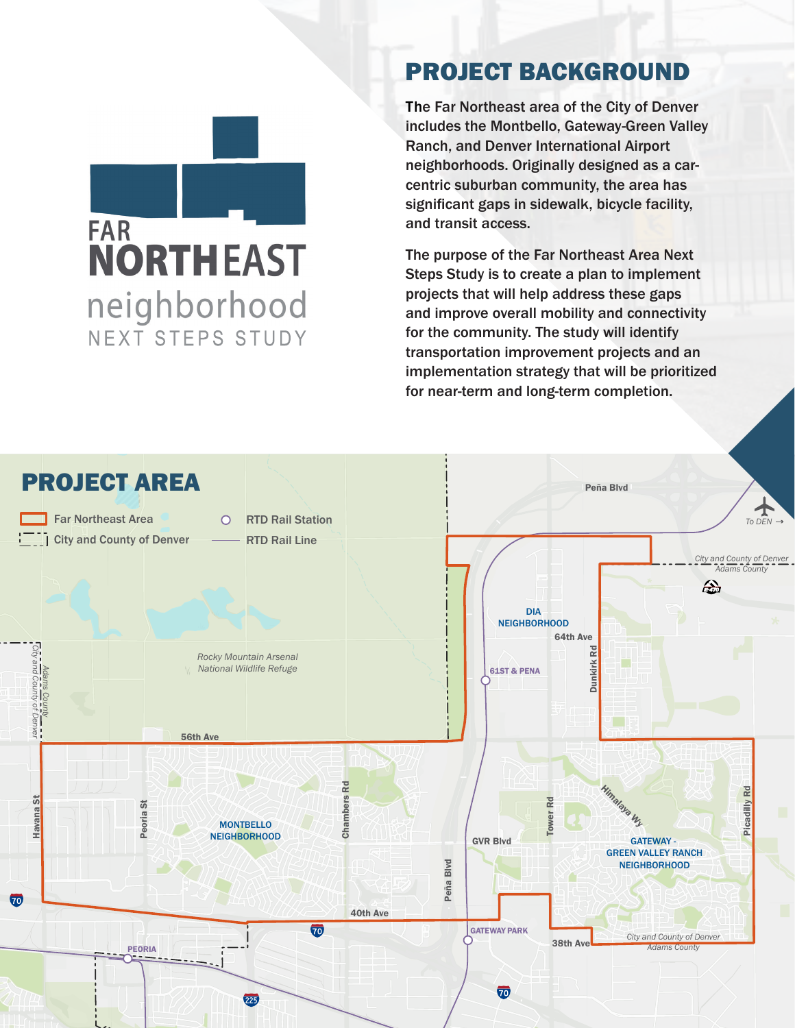#### PROJECT BACKGROUND

The Far Northeast area of the City of Denver includes the Montbello, Gateway-Green Valley Ranch, and Denver International Airport neighborhoods. Originally designed as a carcentric suburban community, the area has significant gaps in sidewalk, bicycle facility, and transit access.

The purpose of the Far Northeast Area Next Steps Study is to create a plan to implement projects that will help address these gaps and improve overall mobility and connectivity for the community. The study will identify transportation improvement projects and an implementation strategy that will be prioritized for near-term and long-term completion.



**FAR** 

**NORTHEAST** 

neighborhood

NEXT STEPS STUDY